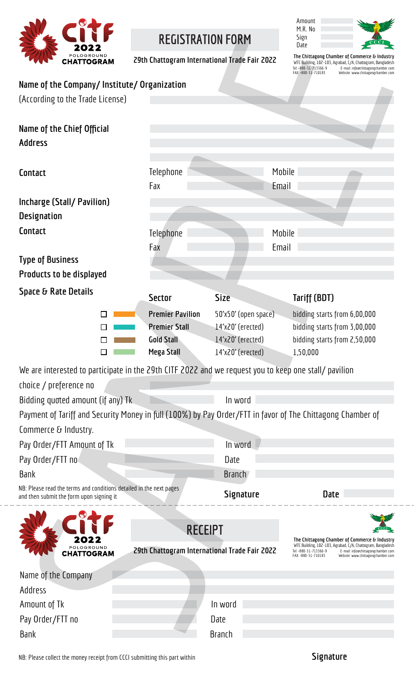

# **REGISTRATION FORM**

**29th Chattogram International Trade Fair 2022**



**The Chittagong Chamber of Commerce & Industry** WTC Building, 102-103, Agrabad, C/A, Chattogram, Bangladesh Tel: +880-31-713366-9 E-mail: info@chittagongchamber.com FAX: +880-31-710183 Website: www.chittagongchamber.com

| Name of the Company/Institute/Organization |  |  |  |  |
|--------------------------------------------|--|--|--|--|
|--------------------------------------------|--|--|--|--|

| <b>Natile VI LIIE COMPANY MISCRULE, VI gamzación</b><br>(According to the Trade License)                                           |                                                                                           |                                                             |                      |                                              |                                                                                                              |                                                                          |
|------------------------------------------------------------------------------------------------------------------------------------|-------------------------------------------------------------------------------------------|-------------------------------------------------------------|----------------------|----------------------------------------------|--------------------------------------------------------------------------------------------------------------|--------------------------------------------------------------------------|
| Name of the Chief Official<br><b>Address</b>                                                                                       |                                                                                           |                                                             |                      |                                              |                                                                                                              |                                                                          |
| Contact                                                                                                                            | Telephone<br>Fax                                                                          |                                                             |                      | Mobile<br>Email                              |                                                                                                              |                                                                          |
| <b>Incharge (Stall/Pavilion)</b><br><b>Designation</b>                                                                             |                                                                                           |                                                             |                      |                                              |                                                                                                              |                                                                          |
| Contact                                                                                                                            | Telephone<br>Fax                                                                          |                                                             |                      | Mobile<br>Email                              |                                                                                                              |                                                                          |
| <b>Type of Business</b><br><b>Products to be displayed</b>                                                                         |                                                                                           |                                                             |                      |                                              |                                                                                                              |                                                                          |
| Space & Rate Details                                                                                                               | <b>Sector</b>                                                                             | <b>Size</b>                                                 |                      | Tariff (BDT)                                 |                                                                                                              |                                                                          |
|                                                                                                                                    | <b>Premier Pavilion</b><br><b>Premier Stall</b><br><b>Gold Stall</b><br><b>Mega Stall</b> | 14'x20' (erected)<br>14'x20' (erected)<br>14'x20' (erected) | 50'x50' (open space) | 1,50,000                                     | bidding starts from 6,00,000<br>bidding starts from 3,00,000<br>bidding starts from 2,50,000                 |                                                                          |
| We are interested to participate in the 29th CITF 2022 and we request you to keep one stall/ pavilion                              |                                                                                           |                                                             |                      |                                              |                                                                                                              |                                                                          |
| choice / preference no<br>Bidding quoted amount (if any) Tk                                                                        |                                                                                           | In word                                                     |                      |                                              |                                                                                                              |                                                                          |
| Payment of Tariff and Security Money in full (100%) by Pay Order/FTT in favor of The Chittagong Chamber of<br>Commerce & Industry. |                                                                                           |                                                             |                      |                                              |                                                                                                              |                                                                          |
| Pay Order/FTT Amount of Tk                                                                                                         |                                                                                           | In word                                                     |                      |                                              |                                                                                                              |                                                                          |
| Pay Order/FTT no                                                                                                                   |                                                                                           | Date                                                        |                      |                                              |                                                                                                              |                                                                          |
| <b>Bank</b><br>NB: Please read the terms and conditions detailed in the next pages                                                 |                                                                                           | <b>Branch</b>                                               |                      |                                              |                                                                                                              |                                                                          |
| and then submit the form upon signing it                                                                                           |                                                                                           | <b>Signature</b>                                            |                      |                                              | <b>Date</b>                                                                                                  |                                                                          |
| POLOGROUND<br><b>HATTOGRAM</b>                                                                                                     | 29th Chattogram International Trade Fair 2022                                             | <b>RECEIPT</b>                                              |                      | Tel: +880-31-713366-9<br>FAX: +880-31-710183 | The Chittagong Chamber of Commerce & Industry<br>WTC Building, 102-103, Agrabad, C/A, Chattogram, Bangladesh | E-mail: info@chittagongchamber.com<br>Website: www.chittagongchamber.com |
| Name of the Company                                                                                                                |                                                                                           |                                                             |                      |                                              |                                                                                                              |                                                                          |
| Address                                                                                                                            |                                                                                           |                                                             |                      |                                              |                                                                                                              |                                                                          |
| Amount of Tk                                                                                                                       |                                                                                           | In word                                                     |                      |                                              |                                                                                                              |                                                                          |
| Pay Order/FTT no<br><b>Bank</b>                                                                                                    |                                                                                           | Date<br><b>Branch</b>                                       |                      |                                              |                                                                                                              |                                                                          |
|                                                                                                                                    |                                                                                           |                                                             |                      |                                              |                                                                                                              |                                                                          |

NB: Please collect the money receipt from CCCI submitting this part within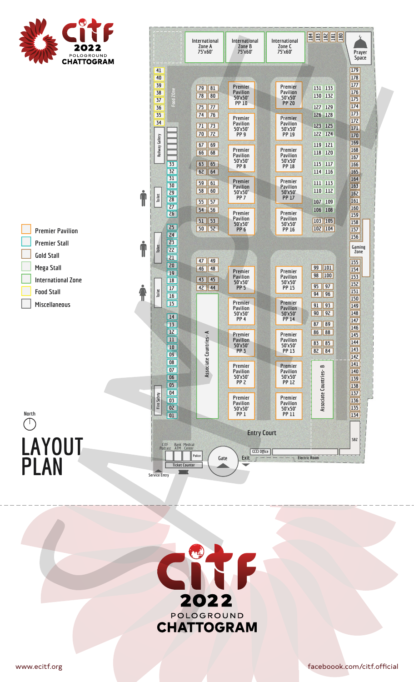

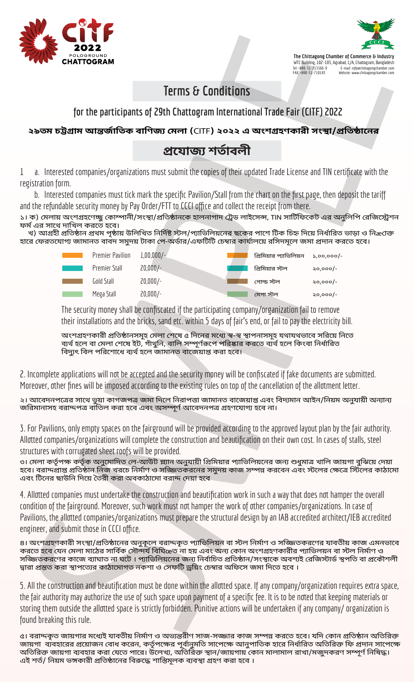



**The Chittagong Chamber of Commerce & Industry** WTC Building, 102-103, Agrabad, C/A, Chattogram, Bangladesh Tel: +880-31-713366-9 E-mail: info@chittagongchamber.com FAX: +880-31-710183 Website: www.chittagongchamber.com

## **Terms & Conditions**

### **for the participants of 29th Chattogram International Trade Fair (CITF) 2022**

**২৯তম চ��াম আ�জৰ্ািতক বািণজ্য েমলা (**CITF**) ২০২২ এ অংশ�হণকারী সং�া/�িত�ােনর**

### **�েযাজ্য শতৰ্াবলী**

1 a. Interested companies/organizations must submit the copies of their updated Trade License and TIN certificate with the registration form.

 b. Interested companies must tick mark the specific Pavilion/Stall from the chart on the first page, then deposit the tariff and the refundable security money by Pay Order/FTT to CCCI office and collect the receipt from there.

১। ক) মেলায় অংশগ্রহণেচ্ছু কোম্পানী/সংস্থা/প্রতিষ্ঠানকে হালনাগাদ ট্রেড লাইসেন্স, TlN সার্টিফিকেট এর অনুলিপি রেজিস্ট্রেশন ফৰ্ম এর সাথে দাখিল করতে হবে।

খ) আগ্রহী প্রতিষ্ঠান প্রথম পৃষ্ঠায় উলিখিত নির্দিষ্ট স্টল/প্যাভিলিয়নের ছকের পাশে টিক চিহ্ন দিয়ে নির্ধারিত ভাড়া ও নিæোক্ত হারে ফেরতযােগ্য জামানত বাবদ সমুদয় টাকা পে-অর্ডার/এফটিটি চেম্বার কার্যালয়ে রসিদমূলে জমা প্রদান করতে হবে।

| <b>Premier Pavilion</b> | $1,00,000/-$ | প্রিমিয়ার প্যাভিলিয়ন | $5.00.000/-$ |
|-------------------------|--------------|------------------------|--------------|
| <b>Premier Stall</b>    | $20,000/-$   | প্রিমিয়ার স্টল        | ২০,০০০/-     |
| Gold Stall              | $20,000/-$   | গোল্ড স্টল             | $20,000/-$   |
| Mega Stall              | $20,000/-$   | মেগা স্টল              | $50,000/-$   |

The security money shall be confiscated if the participating company/organization fail to remove their installations and the bricks, sand etc. within 5 days of fair's end, or fail to pay the electricity bill.

অংশগ্রহণকারী প্রতিষ্ঠানসমূহ মেলা শেষে ৫ দিনের মধ্যে স্ব-স্ব স্থাপনাসমূহ যথাযথভাবে সরিয়ে নিতে ব্যৰ্থ হলে বা মেলা শেষে ইট, গাঁথনি, বালি সম্পর্ণরূপে পরিষ্কার করতে ব্যর্থ হলে কিংবা নির্ধারিত বিদ্যুৎ বিল পরিশােধে ব্যর্থ হলে জামানত বাজেয়াপ্ত করা হবে।

2. Incomplete applications will not be accepted and the security money will be confiscated if fake documents are submitted. Moreover, other fines will be imposed according to the existing rules on top of the cancellation of the allotment letter.

২। আবেদনপত্রের সাথে ভূয়া কাগজপত্র জমা দিলে নিরাপত্তা জামানত বাজেয়াপ্ত এবং বিদ্যমান আইন/নিয়ম অনুযায়ী অন্যান্য জরিমানাসহ বরাদ্দপত্র বাঁতিল করা হবে এবং অসম্পূর্ণ আবেদনপত্র গ্রহণযোগ্য হবে না।

3. For Pavilions, only empty spaces on the fairground will be provided according to the approved layout plan by the fair authority. Allotted companies/organizations will complete the construction and beautification on their own cost. In cases of stalls, steel structures with corrugated sheet roofs will be provided.

৩। মেলা কর্তৃপক্ষ কর্তৃক অনুমোদিত লে-আউট প্ল্যান অনুযায়ী প্রিমিয়ার প্যাভিলিয়নের জন্য শুধুমাত্র খালি জায়গা বুঝিয়ে দেয়া হবে। বরাদ্দপ্রাপ্ত প্রতিষ্ঠান নিজ খরচে নির্মাণ ও সজ্জিতকরনের সমুদয় কাজ সম্পন্ন করবেন এবং স্টলের ক্ষেত্রে স্টিলের কাঠামাে এবং টিনের ছাউনি দিয়ে তৈরী করা অবকাঠামাে বরাদ্দ দেয়া হবে

4. Allotted companies must undertake the construction and beautification work in such a way that does not hamper the overall condition of the fairground. Moreover, such work must not hamper the work of other companies/organizations. In case of Pavilions, the allotted companies/organizations must prepare the structural design by an IAB accredited architect/IEB accredited engineer, and submit those in CCCI office.

৪। অংশগ্রহণকারী সংস্থা/প্রতিষ্ঠানের অনুকূলে বরাদ্দকৃত প্যাভিলিয়ন বা স্টল নির্মাণ ও সজ্জিতকরণের যাবতীয় কাজ এমনভাবে করতে হবে যেন মেলা মাঠের সার্বিক সৌন্দর্য বিঘিœত না হয় এবং অন্য কোন অংশগ্রহণকারীর প্যাভিলয়ন বা স্টল নির্মাণ ও সজ্জিতকরণের কাজে ব্যাঘাত না ঘটে । প্যাভিলিয়নের জন্য নির্বাচিত প্রতিষ্ঠান/সংস্থাকে অবশ্যই রেজিস্টার্ড স্থপতি বা প্রকৌশলী দ্বারা প্রস্তত করা স্থাপত্যের কাঠামােগত নকশা ও সেফটি ড্রয়িং চেম্বার অফিসে জমা দিতে হবে ।

5. All the construction and beautification must be done within the allotted space. If any company/organization requires extra space, the fair authority may authorize the use of such space upon payment of a specific fee. It is to be noted that keeping materials or storing them outside the allotted space is strictly forbidden. Punitive actions will be undertaken if any company/organization is found breaking this rule.

৫। বরাদ্দকৃত জায়গার মধ্যেই যাবতীয় নির্মাণ ও অভ্যন্তরীণ সাজ-সজ্জার কাজ সম্পন্ন করতে হবে। যদি কোন প্রতিষ্ঠান অতিরিক্ত জায়গা ব্যবহারের প্রয়ােজন বােধ করেন, কর্তৃপক্ষের পূর্বানুমতি সাপেক্ষে আনুপাতিক হারে নির্ধারিত অতিরিক্ত ফি প্রদান সাপেক্ষে অতিরিক্ত জায়গা ব্যবহার করা যেতে পারে। উলেখ্য, অতিরিক্ত স্থান/জায়গায় কোন মালামাল রাখা/মজুদকরণ সম্পূর্ণ নিষিদ্ধ। এই শর্ত/ নিয়ম ভঙ্গকারী প্রতিষ্ঠানের বিরুদ্ধে শাস্তিমূলক ব্যবস্থা গ্রহণ করা হবে ।